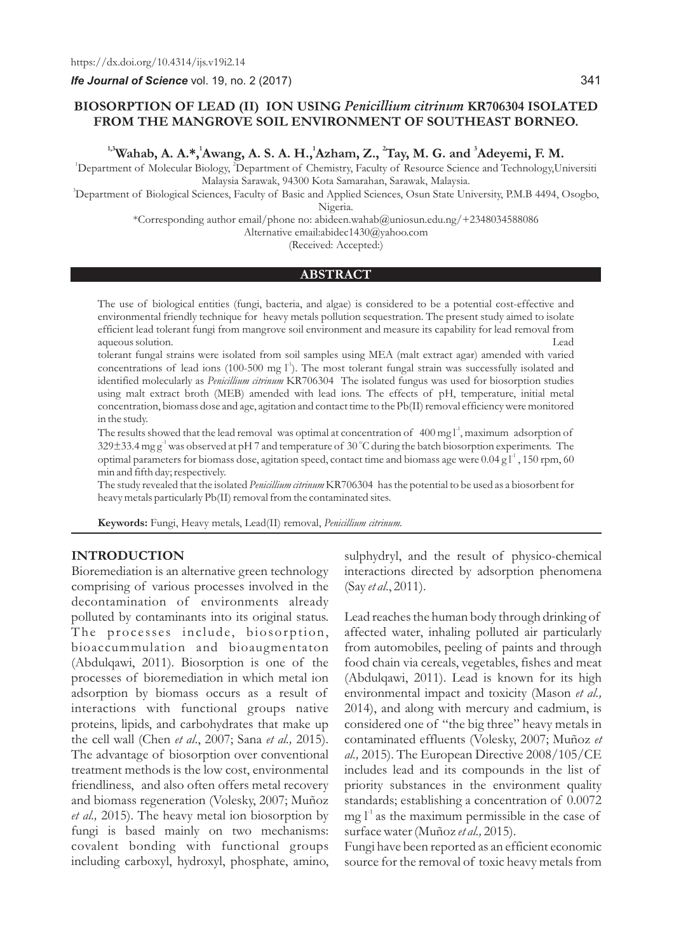*Ife Journal of Science* vol. 19, no. 2 (2017)

# **BIOSORPTION OF LEAD (II) ION USING** *Penicillium citrinum* **KR706304 ISOLATED FROM THE MANGROVE SOIL ENVIRONMENT OF SOUTHEAST BORNEO.**

<sup>1,3</sup> Wahab, A. A.\*, <sup>1</sup>Awang, A. S. A. H., <sup>1</sup>Azham, Z., <sup>2</sup>Tay, M. G. and <sup>3</sup>Adeyemi, F. M.

<sup>1</sup>Department of Molecular Biology, <sup>2</sup>Department of Chemistry, Faculty of Resource Science and Technology,Universiti Malaysia Sarawak, 94300 Kota Samarahan, Sarawak, Malaysia.

<sup>3</sup>Department of Biological Sciences, Faculty of Basic and Applied Sciences, Osun State University, P.M.B 4494, Osogbo, Nigeria.

\*Corresponding author email/phone no: abideen.wahab@uniosun.edu.ng/+2348034588086

Alternative email:abidec1430@yahoo.com

(Received: Accepted:)

#### **ABSTRACT**

The use of biological entities (fungi, bacteria, and algae) is considered to be a potential cost-effective and environmental friendly technique for heavy metals pollution sequestration. The present study aimed to isolate efficient lead tolerant fungi from mangrove soil environment and measure its capability for lead removal from aqueous solution.

tolerant fungal strains were isolated from soil samples using MEA (malt extract agar) amended with varied concentrations of lead ions (100-500 mg l<sup>4</sup>). The most tolerant fungal strain was successfully isolated and identified molecularly as *Penicillium citrinum* KR706304 The isolated fungus was used for biosorption studies using malt extract broth (MEB) amended with lead ions. The effects of pH, temperature, initial metal concentration, biomass dose and age, agitation and contact time to the Pb(II) removal efficiency were monitored in the study.

The results showed that the lead removal was optimal at concentration of  $400 \text{ mg l}^1$ , maximum adsorption of 329 $\pm$ 33.4 mg g<sup>-1</sup> was observed at pH 7 and temperature of 30 °C during the batch biosorption experiments. The optimal parameters for biomass dose, agitation speed, contact time and biomass age were 0.04 g  $l^1$ , 150 rpm, 60 min and fifth day; respectively.

The study revealed that the isolated *Penicillium citrinum* KR706304 has the potential to be used as a biosorbent for heavy metals particularly Pb(II) removal from the contaminated sites.

**Keywords:** Fungi, Heavy metals, Lead(II) removal, *Penicillium citrinum.*

### **INTRODUCTION**

Bioremediation is an alternative green technology comprising of various processes involved in the decontamination of environments already polluted by contaminants into its original status. The processes include, biosorption, bioaccummulation and bioaugmentaton (Abdulqawi, 2011). Biosorption is one of the processes of bioremediation in which metal ion adsorption by biomass occurs as a result of interactions with functional groups native proteins, lipids, and carbohydrates that make up the cell wall (Chen *et al*., 2007; Sana *et al.,* 2015). The advantage of biosorption over conventional treatment methods is the low cost, environmental friendliness, and also often offers metal recovery and biomass regeneration (Volesky, 2007; Muñoz *et al.,* 2015). The heavy metal ion biosorption by fungi is based mainly on two mechanisms: covalent bonding with functional groups including carboxyl, hydroxyl, phosphate, amino,

sulphydryl, and the result of physico-chemical interactions directed by adsorption phenomena (Say *et al*., 2011).

Lead reaches the human body through drinking of affected water, inhaling polluted air particularly from automobiles, peeling of paints and through food chain via cereals, vegetables, fishes and meat (Abdulqawi, 2011). Lead is known for its high environmental impact and toxicity (Mason *et al.,* 2014), and along with mercury and cadmium, is considered one of "the big three" heavy metals in contaminated effluents (Volesky, 2007; Muñoz *et al.,* 2015). The European Directive 2008/105/CE includes lead and its compounds in the list of priority substances in the environment quality standards; establishing a concentration of 0.0072  $mg \, \Gamma^1$  as the maximum permissible in the case of surface water (Muñoz *et al.,* 2015).

Fungi have been reported as an efficient economic source for the removal of toxic heavy metals from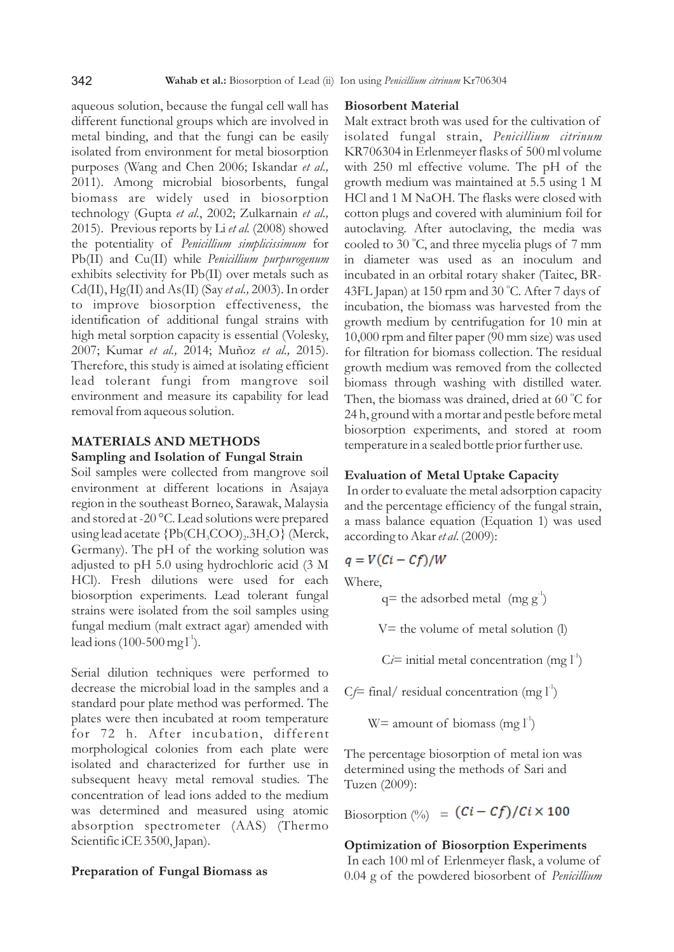aqueous solution, because the fungal cell wall has different functional groups which are involved in metal binding, and that the fungi can be easily isolated from environment for metal biosorption purposes (Wang and Chen 2006; Iskandar *et al.,* 2011). Among microbial biosorbents, fungal biomass are widely used in biosorption technology (Gupta *et al*., 2002; Zulkarnain *et al.,* 2015). Previous reports by Li *et al.* (2008) showed the potentiality of *Penicillium simplicissimum* for Pb(II) and Cu(II) while *Penicillium purpurogenum* exhibits selectivity for Pb(II) over metals such as Cd(II), Hg(II) and As(II) (Say *et al.,* 2003). In order to improve biosorption effectiveness, the identification of additional fungal strains with high metal sorption capacity is essential (Volesky, 2007; Kumar *et al.,* 2014; Muñoz *et al.,* 2015). Therefore, this study is aimed at isolating efficient lead tolerant fungi from mangrove soil environment and measure its capability for lead removal from aqueous solution.

# **MATERIALS AND METHODS Sampling and Isolation of Fungal Strain**

Soil samples were collected from mangrove soil environment at different locations in Asajaya region in the southeast Borneo, Sarawak, Malaysia and stored at -20 °C. Lead solutions were prepared using lead acetate  ${Pb(CH<sub>3</sub>COO)<sub>2</sub>$ .3H<sub>2</sub>O} (Merck, Germany). The pH of the working solution was adjusted to pH 5.0 using hydrochloric acid (3 M HCl). Fresh dilutions were used for each biosorption experiments. Lead tolerant fungal strains were isolated from the soil samples using fungal medium (malt extract agar) amended with lead ions  $(100-500 \text{ mg l}^3)$ .

Serial dilution techniques were performed to decrease the microbial load in the samples and a standard pour plate method was performed. The plates were then incubated at room temperature for 72 h. After incubation, different morphological colonies from each plate were isolated and characterized for further use in subsequent heavy metal removal studies. The concentration of lead ions added to the medium was determined and measured using atomic absorption spectrometer (AAS) (Thermo Scientific iCE 3500, Japan).

### **Preparation of Fungal Biomass as**

### **Biosorbent Material**

Malt extract broth was used for the cultivation of isolated fungal strain, *Penicillium citrinum* KR706304 in Erlenmeyer flasks of 500 ml volume with 250 ml effective volume. The pH of the growth medium was maintained at 5.5 using 1 M HCl and 1 M NaOH. The flasks were closed with cotton plugs and covered with aluminium foil for autoclaving. After autoclaving, the media was cooled to 30 °C, and three mycelia plugs of 7 mm in diameter was used as an inoculum and incubated in an orbital rotary shaker (Taitec, BR-43FL Japan) at 150 rpm and 30 °C. After 7 days of incubation, the biomass was harvested from the growth medium by centrifugation for 10 min at 10,000 rpm and filter paper (90 mm size) was used for filtration for biomass collection. The residual growth medium was removed from the collected biomass through washing with distilled water. Then, the biomass was drained, dried at 60 °C for 24 h, ground with a mortar and pestle before metal biosorption experiments, and stored at room temperature in a sealed bottle prior further use.

# **Evaluation of Metal Uptake Capacity**

In order to evaluate the metal adsorption capacity and the percentage efficiency of the fungal strain, a mass balance equation (Equation 1) was used according to Akar *et al*. (2009):

$$
q = V(Ci - Cf)/W
$$

Where,

 $q=$  the adsorbed metal  $(mg g<sup>-1</sup>)$ 

 $V=$  the volume of metal solution  $(l)$ 

 $C_i$  initial metal concentration (mg  $I^1$ )

 $C_f$  final/ residual concentration (mg  $I^{\prime}$ )

 $W=$  amount of biomass (mg  $l^1$ )

The percentage biosorption of metal ion was determined using the methods of Sari and Tuzen (2009):

Biosorption  $\binom{0}{0}$  =  $\left(\frac{Ci - Cf}{f}\right)/Ci \times 100$ 

# **Optimization of Biosorption Experiments**

In each 100 ml of Erlenmeyer flask, a volume of 0.04 g of the powdered biosorbent of *Penicillium*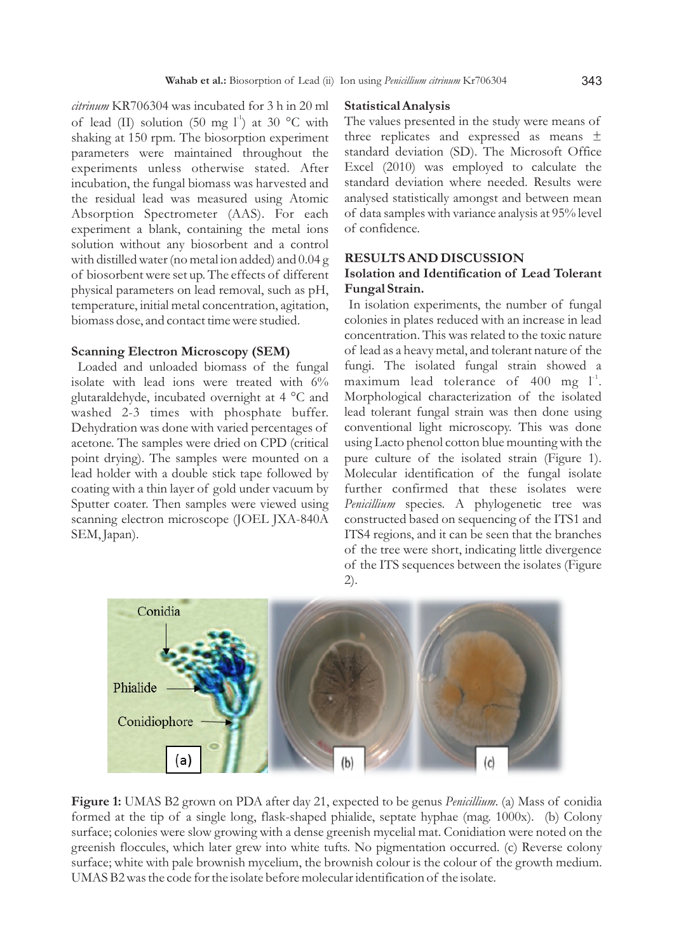*citrinum* KR706304 was incubated for 3 h in 20 ml of lead (II) solution (50 mg l<sup>-1</sup>) at 30 °C with shaking at 150 rpm. The biosorption experiment parameters were maintained throughout the experiments unless otherwise stated. After incubation, the fungal biomass was harvested and the residual lead was measured using Atomic Absorption Spectrometer (AAS). For each experiment a blank, containing the metal ions solution without any biosorbent and a control with distilled water (no metal ion added) and 0.04 g of biosorbent were set up. The effects of different physical parameters on lead removal, such as pH, temperature, initial metal concentration, agitation, biomass dose, and contact time were studied.

#### **Scanning Electron Microscopy (SEM)**

Loaded and unloaded biomass of the fungal isolate with lead ions were treated with 6% glutaraldehyde, incubated overnight at 4 °C and washed 2-3 times with phosphate buffer. Dehydration was done with varied percentages of acetone. The samples were dried on CPD (critical point drying). The samples were mounted on a lead holder with a double stick tape followed by coating with a thin layer of gold under vacuum by Sputter coater. Then samples were viewed using scanning electron microscope (JOEL JXA-840A SEM, Japan).

#### **Statistical Analysis**

The values presented in the study were means of three replicates and expressed as means ± standard deviation (SD). The Microsoft Office Excel (2010) was employed to calculate the standard deviation where needed. Results were analysed statistically amongst and between mean of data samples with variance analysis at 95% level of confidence.

### **RESULTS AND DISCUSSION**

# **Isolation and Identification of Lead Tolerant Fungal Strain.**

In isolation experiments, the number of fungal colonies in plates reduced with an increase in lead concentration. This was related to the toxic nature of lead as a heavy metal, and tolerant nature of the fungi. The isolated fungal strain showed a maximum lead tolerance of  $400$  mg  $l^1$ . Morphological characterization of the isolated lead tolerant fungal strain was then done using conventional light microscopy. This was done using Lacto phenol cotton blue mounting with the pure culture of the isolated strain (Figure 1). Molecular identification of the fungal isolate further confirmed that these isolates were *Penicillium* species. A phylogenetic tree was constructed based on sequencing of the ITS1 and ITS4 regions, and it can be seen that the branches of the tree were short, indicating little divergence of the ITS sequences between the isolates (Figure 2).



**Figure 1:** UMAS B2 grown on PDA after day 21, expected to be genus *Penicillium*. (a) Mass of conidia formed at the tip of a single long, flask-shaped phialide, septate hyphae (mag. 1000x). (b) Colony surface; colonies were slow growing with a dense greenish mycelial mat. Conidiation were noted on the greenish floccules, which later grew into white tufts. No pigmentation occurred. (c) Reverse colony surface; white with pale brownish mycelium, the brownish colour is the colour of the growth medium. UMAS B2 was the code for the isolate before molecular identification of the isolate.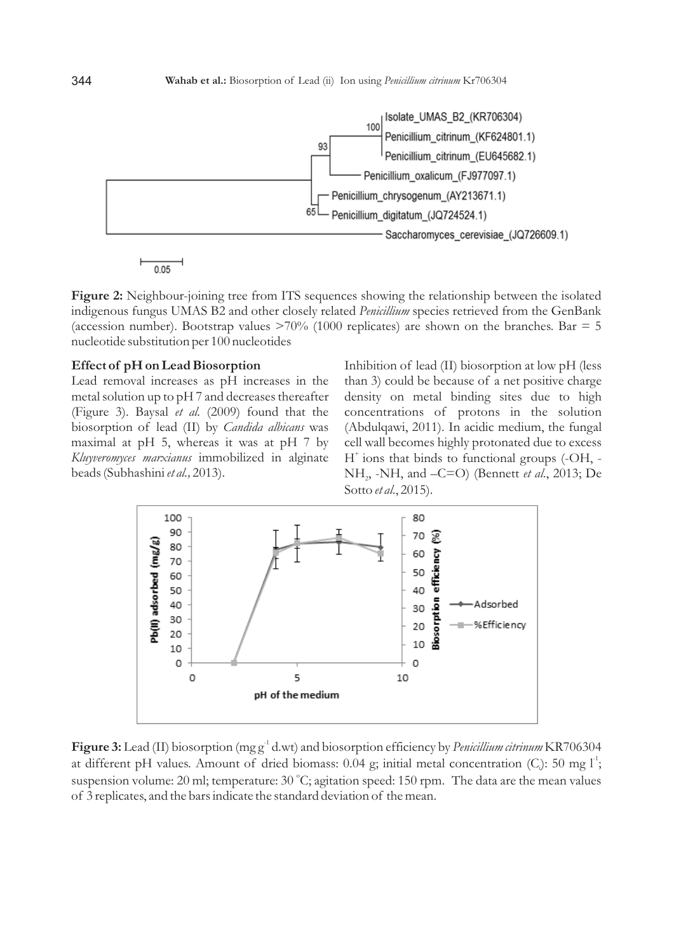



**Figure 2:** Neighbour-joining tree from ITS sequences showing the relationship between the isolated indigenous fungus UMAS B2 and other closely related *Penicillium* species retrieved from the GenBank (accession number). Bootstrap values  $>70\%$  (1000 replicates) are shown on the branches. Bar = 5 nucleotide substitution per 100 nucleotides

### **Effect of pH on Lead Biosorption**

Lead removal increases as pH increases in the metal solution up to pH 7 and decreases thereafter (Figure 3). Baysal *et al.* (2009) found that the biosorption of lead (II) by *Candida albicans* was maximal at pH 5, whereas it was at pH 7 by *Kluyveromyces marxianus* immobilized in alginate beads (Subhashini *et al.,* 2013).

Inhibition of lead (II) biosorption at low pH (less than 3) could be because of a net positive charge density on metal binding sites due to high concentrations of protons in the solution (Abdulqawi, 2011). In acidic medium, the fungal cell wall becomes highly protonated due to excess  $H^*$  ions that binds to functional groups (-OH, -NH<sub>2</sub>, -NH, and –C=O) (Bennett *et al.*, 2013; De Sotto *et al*., 2015).



Figure 3: Lead (II) biosorption (mg g<sup>-1</sup> d.wt) and biosorption efficiency by *Penicillium citrinum* KR706304 at different pH values. Amount of dried biomass: 0.04 g; initial metal concentration (C<sub>i</sub>): 50 mg  $I^1$ ; suspension volume: 20 ml; temperature: 30 °C; agitation speed: 150 rpm. The data are the mean values of 3 replicates, and the bars indicate the standard deviation of the mean.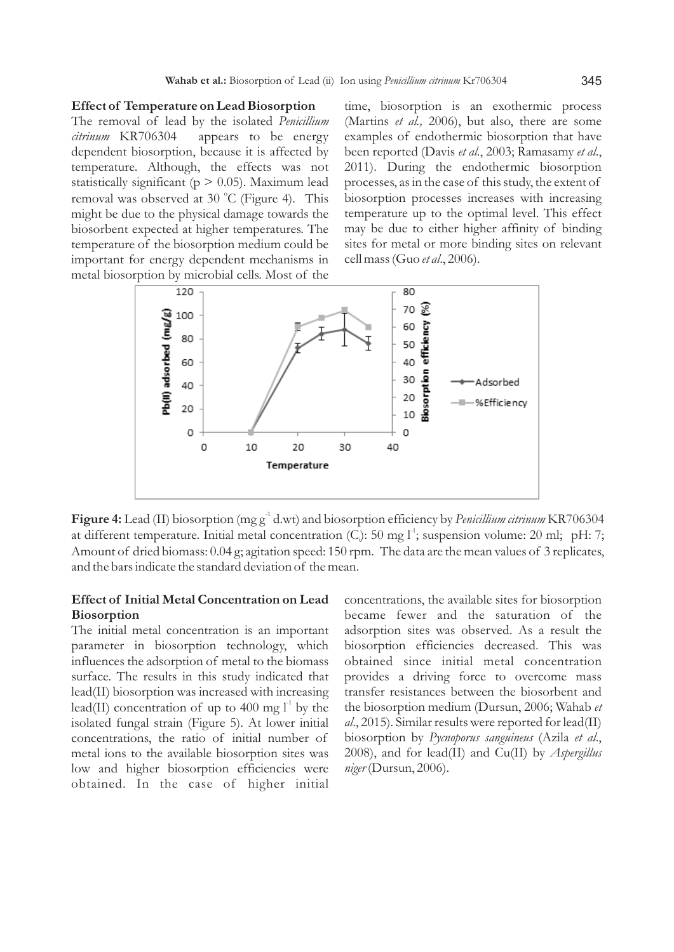#### **Effect of Temperature on Lead Biosorption**

The removal of lead by the isolated *Penicillium citrinum* KR706304 appears to be energy dependent biosorption, because it is affected by temperature. Although, the effects was not statistically significant ( $p > 0.05$ ). Maximum lead removal was observed at 30 °C (Figure 4). This might be due to the physical damage towards the biosorbent expected at higher temperatures. The temperature of the biosorption medium could be important for energy dependent mechanisms in metal biosorption by microbial cells. Most of the

time, biosorption is an exothermic process (Martins *et al.,* 2006), but also, there are some examples of endothermic biosorption that have been reported (Davis *et al*., 2003; Ramasamy *et al*., 2011). During the endothermic biosorption processes, as in the case of this study, the extent of biosorption processes increases with increasing temperature up to the optimal level. This effect may be due to either higher affinity of binding sites for metal or more binding sites on relevant cell mass (Guo *et al*., 2006).



Figure 4: Lead (II) biosorption (mg g<sup>-1</sup> d.wt) and biosorption efficiency by *Penicillium citrinum* KR706304 at different temperature. Initial metal concentration  $(C)$ : 50 mg  $I^1$ ; suspension volume: 20 ml; pH: 7; Amount of dried biomass: 0.04 g; agitation speed: 150 rpm. The data are the mean values of 3 replicates, and the bars indicate the standard deviation of the mean.

# **Effect of Initial Metal Concentration on Lead Biosorption**

The initial metal concentration is an important parameter in biosorption technology, which influences the adsorption of metal to the biomass surface. The results in this study indicated that lead(II) biosorption was increased with increasing lead(II) concentration of up to 400 mg  $l^{\text{-}}$  by the isolated fungal strain (Figure 5). At lower initial concentrations, the ratio of initial number of metal ions to the available biosorption sites was low and higher biosorption efficiencies were obtained. In the case of higher initial

concentrations, the available sites for biosorption became fewer and the saturation of the adsorption sites was observed. As a result the biosorption efficiencies decreased. This was obtained since initial metal concentration provides a driving force to overcome mass transfer resistances between the biosorbent and the biosorption medium (Dursun, 2006; Wahab *et al*., 2015). Similar results were reported for lead(II) biosorption by *Pycnoporus sanguineus* (Azila *et al*., 2008), and for lead(II) and Cu(II) by *Aspergillus niger*(Dursun, 2006).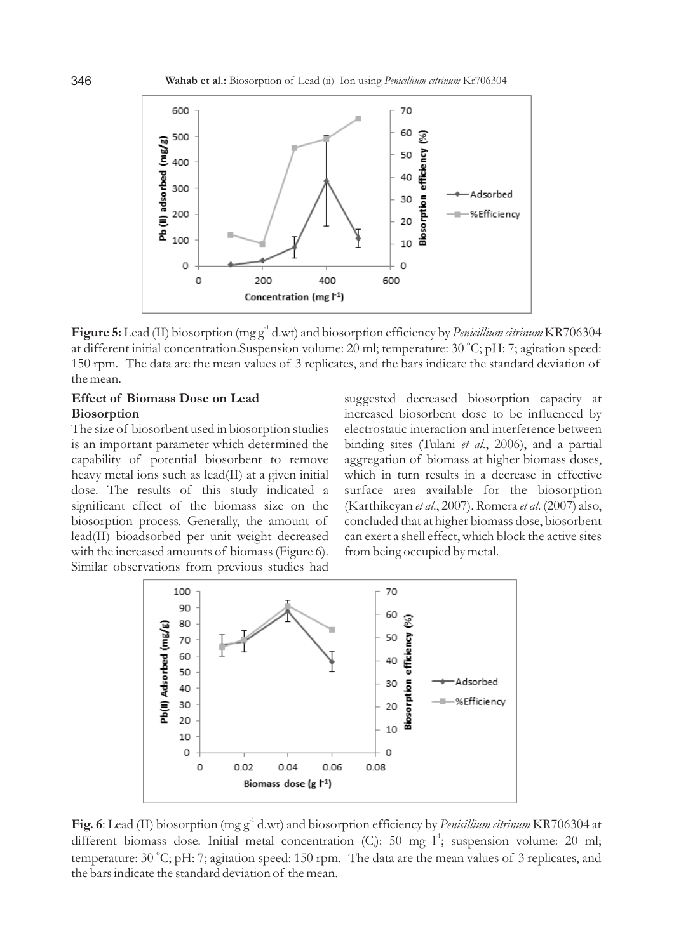

Figure 5: Lead (II) biosorption (mg g<sup>-1</sup> d.wt) and biosorption efficiency by *Penicillium citrinum* KR706304 at different initial concentration.Suspension volume: 20 ml; temperature: 30 °C; pH: 7; agitation speed: 150 rpm. The data are the mean values of 3 replicates, and the bars indicate the standard deviation of the mean.

### **Effect of Biomass Dose on Lead Biosorption**

The size of biosorbent used in biosorption studies is an important parameter which determined the capability of potential biosorbent to remove heavy metal ions such as lead(II) at a given initial dose. The results of this study indicated a significant effect of the biomass size on the biosorption process. Generally, the amount of lead(II) bioadsorbed per unit weight decreased with the increased amounts of biomass (Figure 6). Similar observations from previous studies had suggested decreased biosorption capacity at increased biosorbent dose to be influenced by electrostatic interaction and interference between binding sites (Tulani *et al*., 2006), and a partial aggregation of biomass at higher biomass doses, which in turn results in a decrease in effective surface area available for the biosorption (Karthikeyan *et al*., 2007). Romera *et al*. (2007) also, concluded that at higher biomass dose, biosorbent can exert a shell effect, which block the active sites from being occupied by metal.



Fig. 6: Lead (II) biosorption (mg g<sup>-1</sup> d.wt) and biosorption efficiency by *Penicillium citrinum* KR706304 at different biomass dose. Initial metal concentration (C<sub>i</sub>): 50 mg  $1^{\text{-}}$ ; suspension volume: 20 ml; temperature: 30 °C; pH: 7; agitation speed: 150 rpm. The data are the mean values of 3 replicates, and the bars indicate the standard deviation of the mean.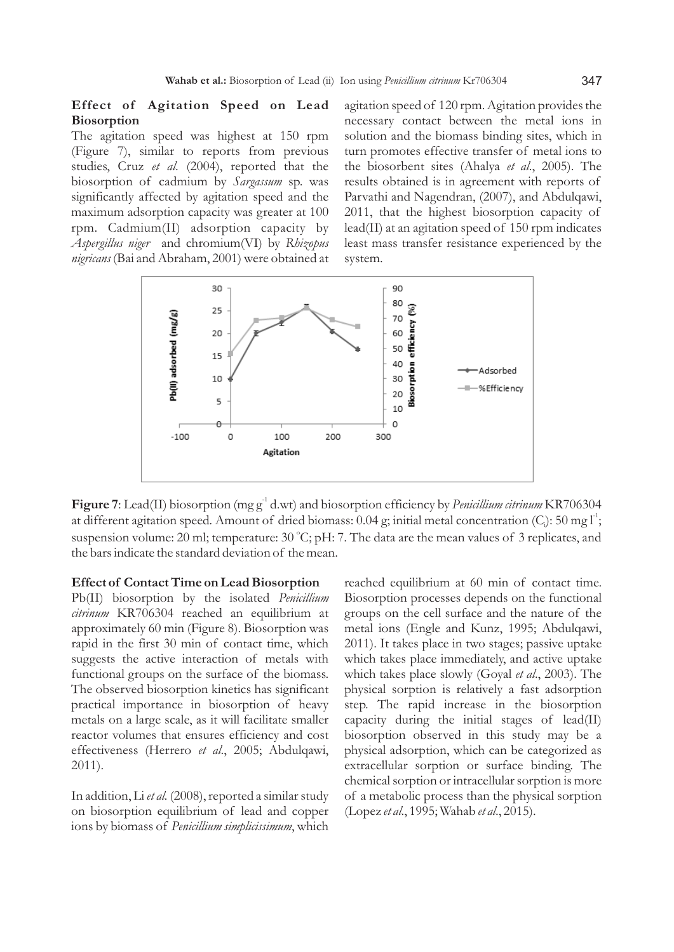# **Effect of Agitation Speed on Lead Biosorption**

The agitation speed was highest at 150 rpm (Figure 7), similar to reports from previous studies, Cruz *et al*. (2004), reported that the biosorption of cadmium by *Sargassum* sp. was significantly affected by agitation speed and the maximum adsorption capacity was greater at 100 rpm. Cadmium(II) adsorption capacity by *Aspergillus niger* and chromium(VI) by *Rhizopus nigricans* (Bai and Abraham, 2001) were obtained at agitation speed of 120 rpm. Agitation provides the necessary contact between the metal ions in solution and the biomass binding sites, which in turn promotes effective transfer of metal ions to the biosorbent sites (Ahalya *et al*., 2005). The results obtained is in agreement with reports of Parvathi and Nagendran, (2007), and Abdulqawi, 2011, that the highest biosorption capacity of lead(II) at an agitation speed of 150 rpm indicates least mass transfer resistance experienced by the system.



Figure 7: Lead(II) biosorption (mg g<sup>-1</sup> d.wt) and biosorption efficiency by *Penicillium citrinum* KR706304 at different agitation speed. Amount of dried biomass:  $0.04$  g; initial metal concentration (C<sub>i</sub>):  $50$  mg  $I^1$ ; suspension volume: 20 ml; temperature: 30 °C; pH: 7. The data are the mean values of 3 replicates, and the bars indicate the standard deviation of the mean.

#### **Effect of Contact Time on Lead Biosorption**

Pb(II) biosorption by the isolated *Penicillium citrinum* KR706304 reached an equilibrium at approximately 60 min (Figure 8). Biosorption was rapid in the first 30 min of contact time, which suggests the active interaction of metals with functional groups on the surface of the biomass. The observed biosorption kinetics has significant practical importance in biosorption of heavy metals on a large scale, as it will facilitate smaller reactor volumes that ensures efficiency and cost effectiveness (Herrero *et al*., 2005; Abdulqawi, 2011).

In addition, Li *et al.* (2008), reported a similar study on biosorption equilibrium of lead and copper ions by biomass of *Penicillium simplicissimum*, which reached equilibrium at 60 min of contact time. Biosorption processes depends on the functional groups on the cell surface and the nature of the metal ions (Engle and Kunz, 1995; Abdulqawi, 2011). It takes place in two stages; passive uptake which takes place immediately, and active uptake which takes place slowly (Goyal *et al*., 2003). The physical sorption is relatively a fast adsorption step. The rapid increase in the biosorption capacity during the initial stages of lead(II) biosorption observed in this study may be a physical adsorption, which can be categorized as extracellular sorption or surface binding. The chemical sorption or intracellular sorption is more of a metabolic process than the physical sorption (Lopez *et al*., 1995; Wahab *et al*., 2015).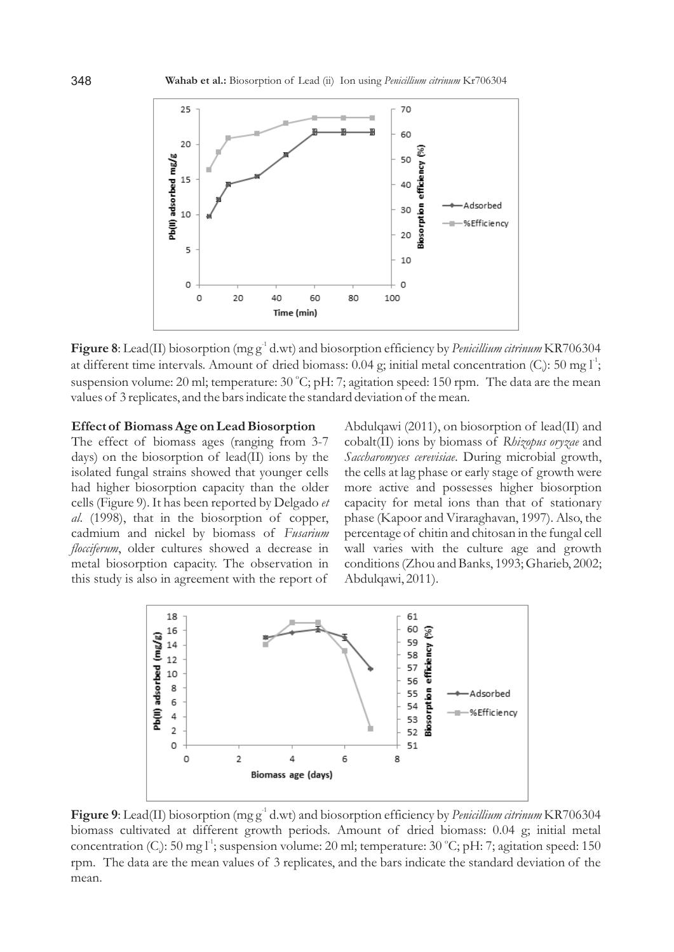

Figure 8: Lead(II) biosorption (mg g<sup>-1</sup> d.wt) and biosorption efficiency by *Penicillium citrinum* KR706304 at different time intervals. Amount of dried biomass: 0.04 g; initial metal concentration (C): 50 mg  $I^1$ ; suspension volume: 20 ml; temperature: 30 °C; pH: 7; agitation speed: 150 rpm. The data are the mean values of 3 replicates, and the bars indicate the standard deviation of the mean.

#### **Effect of Biomass Age on Lead Biosorption**

The effect of biomass ages (ranging from 3-7 days) on the biosorption of lead(II) ions by the isolated fungal strains showed that younger cells had higher biosorption capacity than the older cells (Figure 9). It has been reported by Delgado *et al*. (1998), that in the biosorption of copper, cadmium and nickel by biomass of *Fusarium flocciferum*, older cultures showed a decrease in metal biosorption capacity. The observation in this study is also in agreement with the report of

Abdulqawi (2011), on biosorption of lead(II) and cobalt(II) ions by biomass of *Rhizopus oryzae* and *Saccharomyces cerevisiae*. During microbial growth, the cells at lag phase or early stage of growth were more active and possesses higher biosorption capacity for metal ions than that of stationary phase (Kapoor and Viraraghavan, 1997). Also, the percentage of chitin and chitosan in the fungal cell wall varies with the culture age and growth conditions (Zhou and Banks, 1993; Gharieb, 2002; Abdulqawi, 2011).



Figure 9: Lead(II) biosorption (mg g<sup>-1</sup> d.wt) and biosorption efficiency by *Penicillium citrinum* KR706304 biomass cultivated at different growth periods*.* Amount of dried biomass: 0.04 g; initial metal concentration (C<sub>i</sub>): 50 mg l<sup>-1</sup>; suspension volume: 20 ml; temperature: 30 °C; pH: 7; agitation speed: 150 rpm. The data are the mean values of 3 replicates, and the bars indicate the standard deviation of the mean.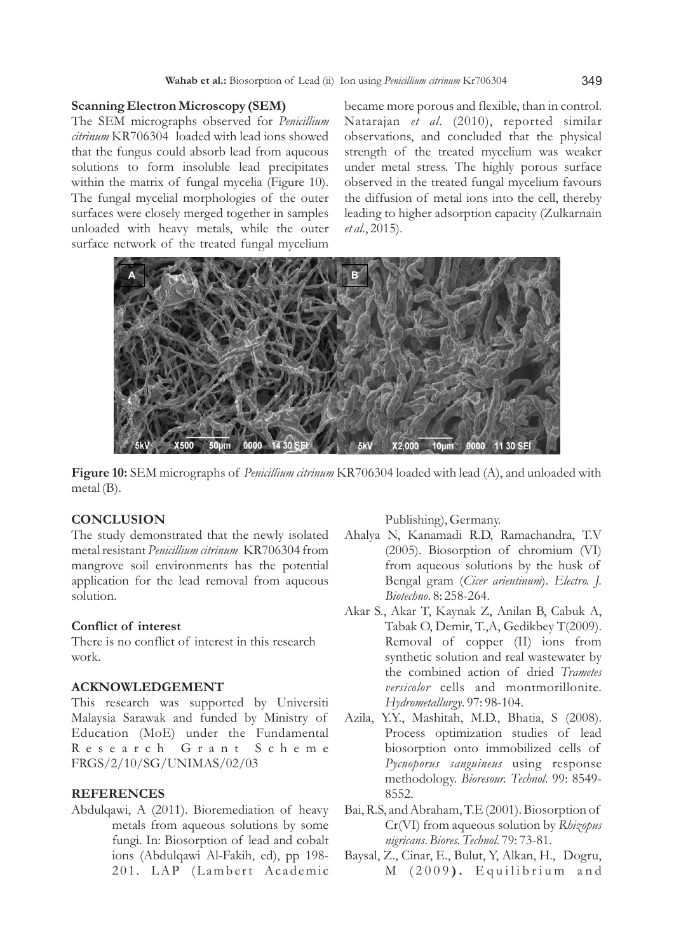### **Scanning Electron Microscopy (SEM)**

The SEM micrographs observed for *Penicillium citrinum* KR706304 loaded with lead ions showed that the fungus could absorb lead from aqueous solutions to form insoluble lead precipitates within the matrix of fungal mycelia (Figure 10). The fungal mycelial morphologies of the outer surfaces were closely merged together in samples unloaded with heavy metals, while the outer surface network of the treated fungal mycelium

became more porous and flexible, than in control. Natarajan *et al*. (2010), reported similar observations, and concluded that the physical strength of the treated mycelium was weaker under metal stress. The highly porous surface observed in the treated fungal mycelium favours the diffusion of metal ions into the cell, thereby leading to higher adsorption capacity (Zulkarnain *et al*., 2015).



**Figure 10:** SEM micrographs of *Penicillium citrinum* KR706304 loaded with lead (A), and unloaded with metal (B).

# **CONCLUSION**

The study demonstrated that the newly isolated metal resistant *Penicillium citrinum* KR706304 from mangrove soil environments has the potential application for the lead removal from aqueous solution.

### **Conflict of interest**

There is no conflict of interest in this research work.

### **ACKNOWLEDGEMENT**

This research was supported by Universiti Malaysia Sarawak and funded by Ministry of Education (MoE) under the Fundamental R e s e a r c h G r a n t S c h e m e FRGS/2/10/SG/UNIMAS/02/03

#### **REFERENCES**

Abdulqawi, A (2011). Bioremediation of heavy metals from aqueous solutions by some fungi. In: Biosorption of lead and cobalt ions (Abdulqawi Al-Fakih, ed), pp 198- 201. LAP (Lambert Academic

Publishing), Germany.

- Ahalya N, Kanamadi R.D, Ramachandra, T.V (2005). Biosorption of chromium (VI) from aqueous solutions by the husk of Bengal gram (*Cicer arientinum*). *Electro. J. Biotechno*. 8: 258-264.
- Akar S., Akar T, Kaynak Z, Anilan B, Cabuk A, Tabak O, Demir, T.,A, Gedikbey T(2009). Removal of copper (II) ions from synthetic solution and real wastewater by the combined action of dried *Trametes versicolor* cells and montmorillonite. *Hydrometallurgy*. 97: 98-104.
- Azila, Y.Y., Mashitah, M.D., Bhatia, S (2008). Process optimization studies of lead biosorption onto immobilized cells of *Pycnoporus sanguineus* using response methodology. *Bioresour. Technol*. 99: 8549- 8552.
- Bai, R.S, and Abraham, T.E (2001). Biosorption of Cr(VI) from aqueous solution by *Rhizopus nigricans*. *Biores. Technol*. 79: 73-81.
- Baysal, Z., Cinar, E., Bulut, Y, Alkan, H., Dogru, M (2009). Equilibrium and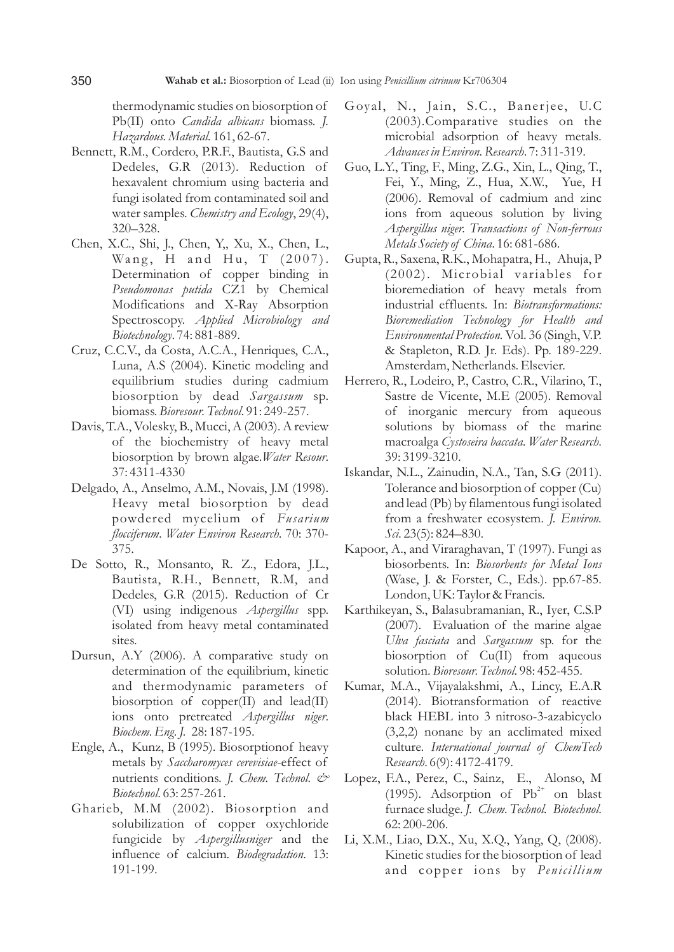thermodynamic studies on biosorption of Pb(II) onto *Candida albicans* biomass. *J. Hazardous. Material.* 161, 62-67.

- Bennett, R.M., Cordero, P.R.F., Bautista, G.S and Dedeles, G.R (2013). Reduction of hexavalent chromium using bacteria and fungi isolated from contaminated soil and water samples. *Chemistry and Ecology*, 29(4), 320–328.
- Chen, X.C., Shi, J., Chen, Y,, Xu, X., Chen, L., Wang, H and Hu, T (2007). Determination of copper binding in *Pseudomonas putida* CZ1 by Chemical Modifications and X-Ray Absorption Spectroscopy. *Applied Microbiology and Biotechnology*. 74: 881-889.
- Cruz, C.C.V., da Costa, A.C.A., Henriques, C.A., Luna, A.S (2004). Kinetic modeling and equilibrium studies during cadmium biosorption by dead *Sargassum* sp. biomass. *Bioresour. Technol*. 91: 249-257.
- Davis, T.A., Volesky, B., Mucci, A (2003). A review of the biochemistry of heavy metal biosorption by brown algae.*Water Resour*. 37: 4311-4330
- Delgado, A., Anselmo, A.M., Novais, J.M (1998). Heavy metal biosorption by dead powdered mycelium of *Fusarium flocciferum*. *Water Environ Research*. 70: 370- 375.
- De Sotto, R., Monsanto, R. Z., Edora, J.L., Bautista, R.H., Bennett, R.M, and Dedeles, G.R (2015). Reduction of Cr (VI) using indigenous *Aspergillus* spp. isolated from heavy metal contaminated sites.
- Dursun, A.Y (2006). A comparative study on determination of the equilibrium, kinetic and thermodynamic parameters of biosorption of copper(II) and lead(II) ions onto pretreated *Aspergillus niger*. *Biochem. Eng. J.* 28: 187-195.
- Engle, A., Kunz, B (1995). Biosorptionof heavy metals by *Saccharomyces cerevisiae*-effect of nutrients conditions. *J. Chem. Technol. & Biotechnol*. 63: 257-261.
- Gharieb, M.M (2002). Biosorption and solubilization of copper oxychloride fungicide by *Aspergillusniger* and the influence of calcium*. Biodegradation*. 13: 191-199.
- Goyal, N., Jain, S.C., Banerjee, U.C. (2003).Comparative studies on the microbial adsorption of heavy metals*. Advances in Environ. Research*. 7: 311-319.
- Guo, L.Y., Ting, F., Ming, Z.G., Xin, L., Qing, T., Fei, Y., Ming, Z., Hua, X.W., Yue, H (2006). Removal of cadmium and zinc ions from aqueous solution by living *Aspergillus niger. Transactions of Non-ferrous Metals Society of China*. 16: 681-686.
- Gupta, R., Saxena, R.K., Mohapatra, H., Ahuja, P  $(2002)$ . Microbial variables for bioremediation of heavy metals from industrial effluents. In: *Biotransformations: Bioremediation Technology for Health and Environmental Protection.*Vol. 36 (Singh, V.P. & Stapleton, R.D. Jr. Eds). Pp. 189-229. Amsterdam, Netherlands. Elsevier.
- Herrero, R., Lodeiro, P., Castro, C.R., Vilarino, T., Sastre de Vicente, M.E (2005). Removal of inorganic mercury from aqueous solutions by biomass of the marine macroalga *Cystoseira baccata*. *Water Research*. 39: 3199-3210.
- Iskandar, N.L., Zainudin, N.A., Tan, S.G (2011). Tolerance and biosorption of copper (Cu) and lead (Pb) by filamentous fungi isolated from a freshwater ecosystem. *J. Environ. Sci.* 23(5): 824–830.
- Kapoor, A., and Viraraghavan, T (1997). Fungi as biosorbents. In: *Biosorbents for Metal Ions* (Wase, J. & Forster, C., Eds.). pp.67-85. London, UK: Taylor & Francis.
- Karthikeyan, S., Balasubramanian, R., Iyer, C.S.P (2007). Evaluation of the marine algae *Ulva fasciata* and *Sargassum* sp. for the biosorption of Cu(II) from aqueous solution. *Bioresour. Technol*. 98: 452-455.
- Kumar, M.A., Vijayalakshmi, A., Lincy, E.A.R (2014). Biotransformation of reactive black HEBL into 3 nitroso-3-azabicyclo (3,2,2) nonane by an acclimated mixed culture. *International journal of ChemTech Research*. 6(9): 4172-4179.
- Lopez, F.A., Perez, C., Sainz, E., Alonso, M (1995). Adsorption of  $Pb^{2+}$  on blast furnace sludge. *J. Chem. Technol. Biotechnol*. 62: 200-206.
- Li, X.M., Liao, D.X., Xu, X.Q., Yang, Q, (2008). Kinetic studies for the biosorption of lead and copper ions by *Penicillium*

350